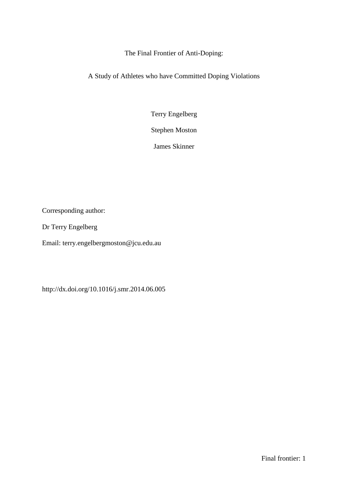# The Final Frontier of Anti-Doping:

A Study of Athletes who have Committed Doping Violations

Terry Engelberg

Stephen Moston

James Skinner

Corresponding author:

Dr Terry Engelberg

Email: terry.engelbergmoston@jcu.edu.au

http://dx.doi.org/10.1016/j.smr.2014.06.005

Final frontier: 1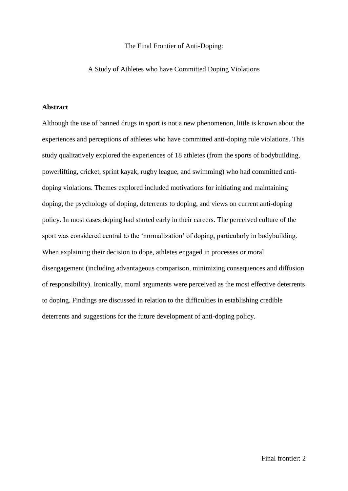### The Final Frontier of Anti-Doping:

#### A Study of Athletes who have Committed Doping Violations

# **Abstract**

Although the use of banned drugs in sport is not a new phenomenon, little is known about the experiences and perceptions of athletes who have committed anti-doping rule violations. This study qualitatively explored the experiences of 18 athletes (from the sports of bodybuilding, powerlifting, cricket, sprint kayak, rugby league, and swimming) who had committed antidoping violations. Themes explored included motivations for initiating and maintaining doping, the psychology of doping, deterrents to doping, and views on current anti-doping policy. In most cases doping had started early in their careers. The perceived culture of the sport was considered central to the 'normalization' of doping, particularly in bodybuilding. When explaining their decision to dope, athletes engaged in processes or moral disengagement (including advantageous comparison, minimizing consequences and diffusion of responsibility). Ironically, moral arguments were perceived as the most effective deterrents to doping. Findings are discussed in relation to the difficulties in establishing credible deterrents and suggestions for the future development of anti-doping policy.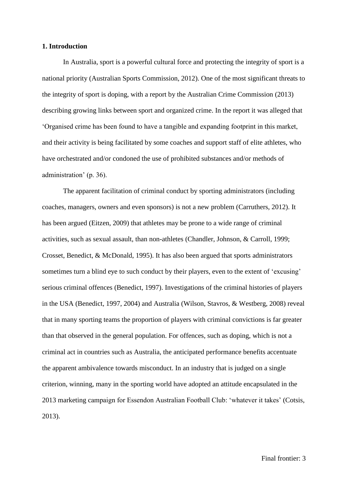## **1. Introduction**

In Australia, sport is a powerful cultural force and protecting the integrity of sport is a national priority [\(Australian Sports Commission, 2012\)](#page-25-0). One of the most significant threats to the integrity of sport is doping, with a report by the Australian Crime Commission [\(2013\)](#page-25-1) describing growing links between sport and organized crime. In the report it was alleged that 'Organised crime has been found to have a tangible and expanding footprint in this market, and their activity is being facilitated by some coaches and support staff of elite athletes, who have orchestrated and/or condoned the use of prohibited substances and/or methods of administration' (p. 36).

The apparent facilitation of criminal conduct by sporting administrators (including coaches, managers, owners and even sponsors) is not a new problem [\(Carruthers, 2012\)](#page-26-0). It has been argued [\(Eitzen, 2009\)](#page-26-1) that athletes may be prone to a wide range of criminal activities, such as sexual assault, than non-athletes [\(Chandler, Johnson, & Carroll, 1999;](#page-26-2) [Crosset, Benedict, & McDonald, 1995\)](#page-26-3). It has also been argued that sports administrators sometimes turn a blind eye to such conduct by their players, even to the extent of 'excusing' serious criminal offences [\(Benedict, 1997\)](#page-26-4). Investigations of the criminal histories of players in the USA [\(Benedict, 1997,](#page-26-4) [2004\)](#page-26-5) and Australia (Wilson, [Stavros, & Westberg, 2008\)](#page-28-0) reveal that in many sporting teams the proportion of players with criminal convictions is far greater than that observed in the general population. For offences, such as doping, which is not a criminal act in countries such as Australia, the anticipated performance benefits accentuate the apparent ambivalence towards misconduct. In an industry that is judged on a single criterion, winning, many in the sporting world have adopted an attitude encapsulated in the 2013 marketing campaign for Essendon Australian Football Club: 'whatever it takes' [\(Cotsis,](#page-26-6)  [2013\)](#page-26-6).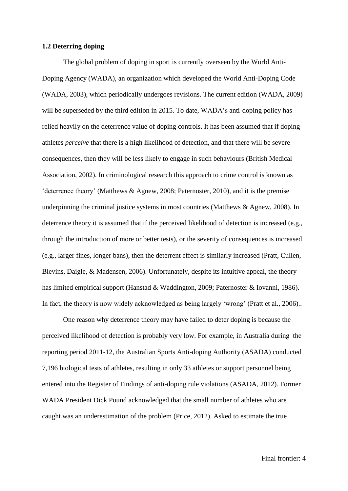## **1.2 Deterring doping**

The global problem of doping in sport is currently overseen by the World Anti-Doping Agency (WADA), an organization which developed the World Anti-Doping Code [\(WADA, 2003\)](#page-28-1), which periodically undergoes revisions. The current edition [\(WADA, 2009\)](#page-28-2) will be superseded by the third edition in 2015. To date, WADA's anti-doping policy has relied heavily on the deterrence value of doping controls. It has been assumed that if doping athletes *perceive* that there is a high likelihood of detection, and that there will be severe consequences, then they will be less likely to engage in such behaviours [\(British Medical](#page-26-7)  [Association, 2002\)](#page-26-7). In criminological research this approach to crime control is known as 'deterrence theory' [\(Matthews & Agnew, 2008;](#page-27-0) [Paternoster, 2010\)](#page-27-1), and it is the premise underpinning the criminal justice systems in most countries [\(Matthews & Agnew, 2008\)](#page-27-0). In deterrence theory it is assumed that if the perceived likelihood of detection is increased (e.g., through the introduction of more or better tests), or the severity of consequences is increased (e.g., larger fines, longer bans), then the deterrent effect is similarly increased [\(Pratt, Cullen,](#page-27-2)  [Blevins, Daigle, & Madensen, 2006\)](#page-27-2). Unfortunately, despite its intuitive appeal, the theory has limited empirical support [\(Hanstad & Waddington, 2009;](#page-27-3) [Paternoster & Iovanni, 1986\)](#page-27-4). In fact, the theory is now widely acknowledged as being largely 'wrong' (Pratt et al., 2006)..

One reason why deterrence theory may have failed to deter doping is because the perceived likelihood of detection is probably very low. For example, in Australia during the reporting period 2011-12, the Australian Sports Anti-doping Authority (ASADA) conducted 7,196 biological tests of athletes, resulting in only 33 athletes or support personnel being entered into the Register of Findings of anti-doping rule violations [\(ASADA, 2012\)](#page-25-2). Former WADA President Dick Pound acknowledged that the small number of athletes who are caught was an underestimation of the problem [\(Price, 2012\)](#page-27-5). Asked to estimate the true

Final frontier: 4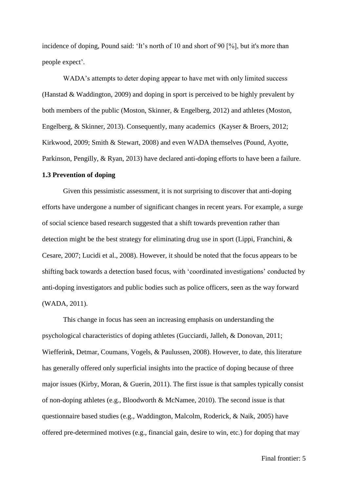incidence of doping, Pound said: 'It's north of 10 and short of 90 [%], but it's more than people expect'.

WADA's attempts to deter doping appear to have met with only limited success [\(Hanstad & Waddington, 2009\)](#page-27-3) and doping in sport is perceived to be highly prevalent by both members of the public (Moston, Skinner, & Engelberg, 2012) and athletes (Moston, Engelberg, & Skinner, 2013). Consequently, many academics [\(Kayser & Broers, 2012;](#page-27-6) [Kirkwood, 2009;](#page-27-7) [Smith & Stewart, 2008\)](#page-28-3) and even WADA themselves [\(Pound, Ayotte,](#page-27-8)  [Parkinson, Pengilly, & Ryan, 2013\)](#page-27-8) have declared anti-doping efforts to have been a failure.

# **1.3 Prevention of doping**

Given this pessimistic assessment, it is not surprising to discover that anti-doping efforts have undergone a number of significant changes in recent years. For example, a surge of social science based research suggested that a shift towards prevention rather than detection might be the best strategy for eliminating drug use in sport [\(Lippi, Franchini, &](#page-27-9)  [Cesare, 2007;](#page-27-9) [Lucidi et al., 2008\)](#page-27-10). However, it should be noted that the focus appears to be shifting back towards a detection based focus, with 'coordinated investigations' conducted by anti-doping investigators and public bodies such as police officers, seen as the way forward [\(WADA, 2011\)](#page-28-4).

This change in focus has seen an increasing emphasis on understanding the psychological characteristics of doping athletes [\(Gucciardi, Jalleh, & Donovan, 2011;](#page-26-8) [Wiefferink, Detmar, Coumans, Vogels, & Paulussen, 2008\)](#page-28-5). However, to date, this literature has generally offered only superficial insights into the practice of doping because of three major issues [\(Kirby, Moran, & Guerin, 2011\)](#page-27-11). The first issue is that samples typically consist of non-doping athletes (e.g., Bloodworth & McNamee, 2010). The second issue is that questionnaire based studies (e.g., Waddington, Malcolm, Roderick, & Naik, 2005) have offered pre-determined motives (e.g., financial gain, desire to win, etc.) for doping that may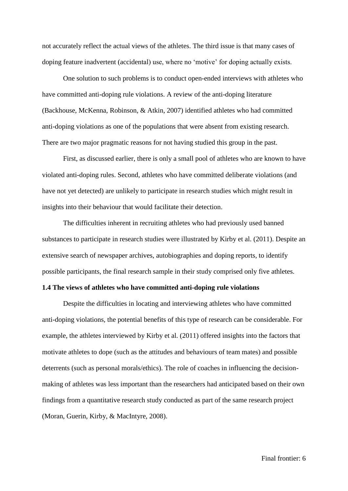not accurately reflect the actual views of the athletes. The third issue is that many cases of doping feature inadvertent (accidental) use, where no 'motive' for doping actually exists.

One solution to such problems is to conduct open-ended interviews with athletes who have committed anti-doping rule violations. A review of the anti-doping literature [\(Backhouse, McKenna, Robinson, & Atkin, 2007\)](#page-26-9) identified athletes who had committed anti-doping violations as one of the populations that were absent from existing research. There are two major pragmatic reasons for not having studied this group in the past.

First, as discussed earlier, there is only a small pool of athletes who are known to have violated anti-doping rules. Second, athletes who have committed deliberate violations (and have not yet detected) are unlikely to participate in research studies which might result in insights into their behaviour that would facilitate their detection.

The difficulties inherent in recruiting athletes who had previously used banned substances to participate in research studies were illustrated by [Kirby et al. \(2011\)](#page-27-11). Despite an extensive search of newspaper archives, autobiographies and doping reports, to identify possible participants, the final research sample in their study comprised only five athletes.

## **1.4 The views of athletes who have committed anti-doping rule violations**

Despite the difficulties in locating and interviewing athletes who have committed anti-doping violations, the potential benefits of this type of research can be considerable. For example, the athletes interviewed by [Kirby et al. \(2011\)](#page-27-11) offered insights into the factors that motivate athletes to dope (such as the attitudes and behaviours of team mates) and possible deterrents (such as personal morals/ethics). The role of coaches in influencing the decisionmaking of athletes was less important than the researchers had anticipated based on their own findings from a quantitative research study conducted as part of the same research project [\(Moran, Guerin, Kirby, & MacIntyre, 2008\)](#page-27-12).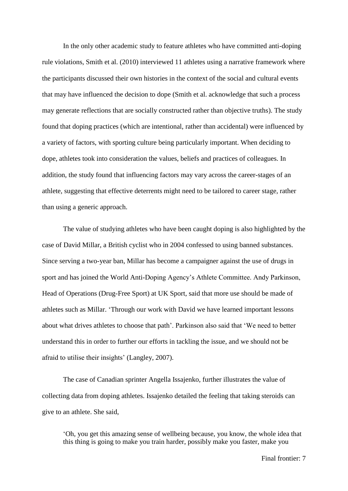In the only other academic study to feature athletes who have committed anti-doping rule violations, [Smith et al. \(2010\)](#page-28-6) interviewed 11 athletes using a narrative framework where the participants discussed their own histories in the context of the social and cultural events that may have influenced the decision to dope (Smith et al. acknowledge that such a process may generate reflections that are socially constructed rather than objective truths). The study found that doping practices (which are intentional, rather than accidental) were influenced by a variety of factors, with sporting culture being particularly important. When deciding to dope, athletes took into consideration the values, beliefs and practices of colleagues. In addition, the study found that influencing factors may vary across the career-stages of an athlete, suggesting that effective deterrents might need to be tailored to career stage, rather than using a generic approach.

The value of studying athletes who have been caught doping is also highlighted by the case of David Millar, a British cyclist who in 2004 confessed to using banned substances. Since serving a two-year ban, Millar has become a campaigner against the use of drugs in sport and has joined the World Anti-Doping Agency's Athlete Committee. Andy Parkinson, Head of Operations (Drug-Free Sport) at UK Sport, said that more use should be made of athletes such as Millar. 'Through our work with David we have learned important lessons about what drives athletes to choose that path'. Parkinson also said that 'We need to better understand this in order to further our efforts in tackling the issue, and we should not be afraid to utilise their insights' [\(Langley, 2007\)](#page-27-13).

The case of Canadian sprinter Angella Issajenko, further illustrates the value of collecting data from doping athletes. Issajenko detailed the feeling that taking steroids can give to an athlete. She said,

'Oh, you get this amazing sense of wellbeing because, you know, the whole idea that this thing is going to make you train harder, possibly make you faster, make you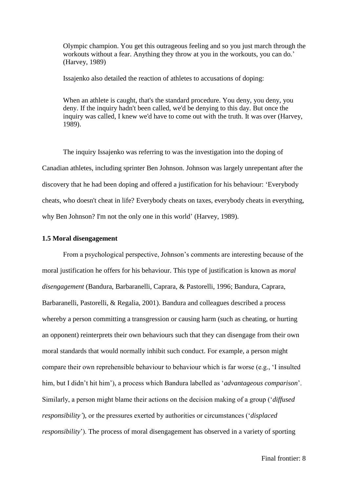Olympic champion. You get this outrageous feeling and so you just march through the workouts without a fear. Anything they throw at you in the workouts, you can do.' [\(Harvey, 1989\)](#page-27-14)

Issajenko also detailed the reaction of athletes to accusations of doping:

When an athlete is caught, that's the standard procedure. You deny, you deny, you deny. If the inquiry hadn't been called, we'd be denying to this day. But once the inquiry was called, I knew we'd have to come out with the truth. It was over [\(Harvey,](#page-27-14)  [1989\)](#page-27-14).

The inquiry Issajenko was referring to was the investigation into the doping of Canadian athletes, including sprinter Ben Johnson. Johnson was largely unrepentant after the discovery that he had been doping and offered a justification for his behaviour: 'Everybody cheats, who doesn't cheat in life? Everybody cheats on taxes, everybody cheats in everything, why Ben Johnson? I'm not the only one in this world' [\(Harvey, 1989\)](#page-27-14).

#### **1.5 Moral disengagement**

From a psychological perspective, Johnson's comments are interesting because of the moral justification he offers for his behaviour. This type of justification is known as *moral disengagement* [\(Bandura, Barbaranelli, Caprara, & Pastorelli, 1996;](#page-26-10) [Bandura, Caprara,](#page-26-11)  [Barbaranelli, Pastorelli, & Regalia, 2001\)](#page-26-11). Bandura and colleagues described a process whereby a person committing a transgression or causing harm (such as cheating, or hurting an opponent) reinterprets their own behaviours such that they can disengage from their own moral standards that would normally inhibit such conduct. For example, a person might compare their own reprehensible behaviour to behaviour which is far worse (e.g., 'I insulted him, but I didn't hit him'), a process which Bandura labelled as '*advantageous comparison*'. Similarly, a person might blame their actions on the decision making of a group ('*diffused responsibility'*), or the pressures exerted by authorities or circumstances ('*displaced responsibility*'). The process of moral disengagement has observed in a variety of sporting

Final frontier: 8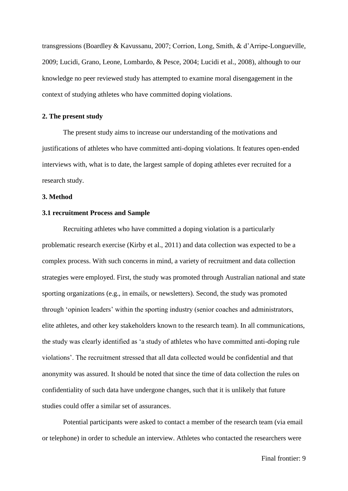transgressions [\(Boardley & Kavussanu, 2007;](#page-26-12) [Corrion, Long, Smith, & d'Arripe-Longueville,](#page-26-13)  [2009;](#page-26-13) [Lucidi, Grano, Leone, Lombardo, & Pesce, 2004;](#page-27-15) [Lucidi et al., 2008\)](#page-27-10), although to our knowledge no peer reviewed study has attempted to examine moral disengagement in the context of studying athletes who have committed doping violations.

#### **2. The present study**

The present study aims to increase our understanding of the motivations and justifications of athletes who have committed anti-doping violations. It features open-ended interviews with, what is to date, the largest sample of doping athletes ever recruited for a research study.

## **3. Method**

#### **3.1 recruitment Process and Sample**

Recruiting athletes who have committed a doping violation is a particularly problematic research exercise [\(Kirby et al., 2011\)](#page-27-11) and data collection was expected to be a complex process. With such concerns in mind, a variety of recruitment and data collection strategies were employed. First, the study was promoted through Australian national and state sporting organizations (e.g., in emails, or newsletters). Second, the study was promoted through 'opinion leaders' within the sporting industry (senior coaches and administrators, elite athletes, and other key stakeholders known to the research team). In all communications, the study was clearly identified as 'a study of athletes who have committed anti-doping rule violations'. The recruitment stressed that all data collected would be confidential and that anonymity was assured. It should be noted that since the time of data collection the rules on confidentiality of such data have undergone changes, such that it is unlikely that future studies could offer a similar set of assurances.

Potential participants were asked to contact a member of the research team (via email or telephone) in order to schedule an interview. Athletes who contacted the researchers were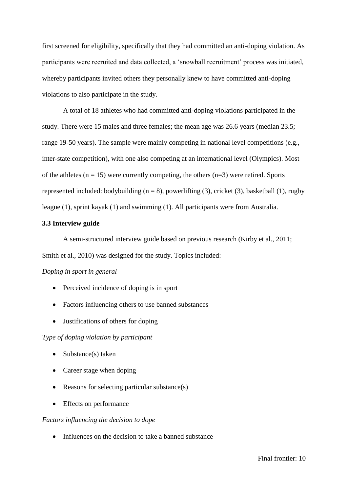first screened for eligibility, specifically that they had committed an anti-doping violation. As participants were recruited and data collected, a 'snowball recruitment' process was initiated, whereby participants invited others they personally knew to have committed anti-doping violations to also participate in the study.

A total of 18 athletes who had committed anti-doping violations participated in the study. There were 15 males and three females; the mean age was 26.6 years (median 23.5; range 19-50 years). The sample were mainly competing in national level competitions (e.g., inter-state competition), with one also competing at an international level (Olympics). Most of the athletes ( $n = 15$ ) were currently competing, the others ( $n=3$ ) were retired. Sports represented included: bodybuilding  $(n = 8)$ , powerlifting (3), cricket (3), basketball (1), rugby league (1), sprint kayak (1) and swimming (1). All participants were from Australia.

## **3.3 Interview guide**

A semi-structured interview guide based on previous research [\(Kirby et al., 2011;](#page-27-11) [Smith et al., 2010\)](#page-28-6) was designed for the study. Topics included:

## *Doping in sport in general*

- Perceived incidence of doping is in sport
- Factors influencing others to use banned substances
- Justifications of others for doping

## *Type of doping violation by participant*

- $\bullet$  Substance(s) taken
- Career stage when doping
- Reasons for selecting particular substance $(s)$
- Effects on performance

## *Factors influencing the decision to dope*

• Influences on the decision to take a banned substance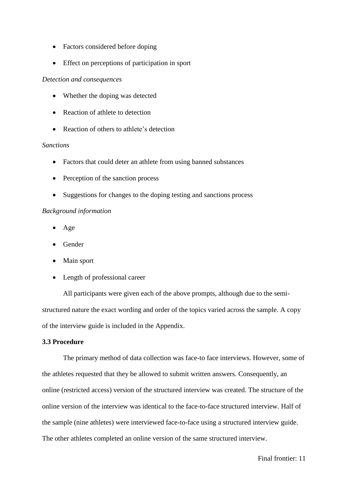- Factors considered before doping
- Effect on perceptions of participation in sport

## *Detection and consequences*

- Whether the doping was detected
- Reaction of athlete to detection
- Reaction of others to athlete's detection

## *Sanctions*

- Factors that could deter an athlete from using banned substances
- Perception of the sanction process
- Suggestions for changes to the doping testing and sanctions process

# *Background information*

- Age
- Gender
- Main sport
- Length of professional career

All participants were given each of the above prompts, although due to the semistructured nature the exact wording and order of the topics varied across the sample. A copy of the interview guide is included in the Appendix.

## **3.3 Procedure**

The primary method of data collection was face-to face interviews. However, some of the athletes requested that they be allowed to submit written answers. Consequently, an online (restricted access) version of the structured interview was created. The structure of the online version of the interview was identical to the face-to-face structured interview. Half of the sample (nine athletes) were interviewed face-to-face using a structured interview guide. The other athletes completed an online version of the same structured interview.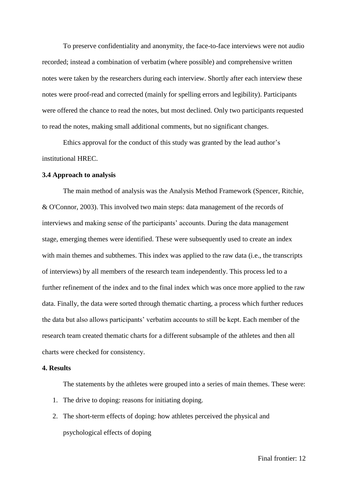To preserve confidentiality and anonymity, the face-to-face interviews were not audio recorded; instead a combination of verbatim (where possible) and comprehensive written notes were taken by the researchers during each interview. Shortly after each interview these notes were proof-read and corrected (mainly for spelling errors and legibility). Participants were offered the chance to read the notes, but most declined. Only two participants requested to read the notes, making small additional comments, but no significant changes.

Ethics approval for the conduct of this study was granted by the lead author's institutional HREC.

### **3.4 Approach to analysis**

The main method of analysis was the Analysis Method Framework [\(Spencer, Ritchie,](#page-28-7)  [& O'Connor, 2003\)](#page-28-7). This involved two main steps: data management of the records of interviews and making sense of the participants' accounts. During the data management stage, emerging themes were identified. These were subsequently used to create an index with main themes and subthemes. This index was applied to the raw data (i.e., the transcripts of interviews) by all members of the research team independently. This process led to a further refinement of the index and to the final index which was once more applied to the raw data. Finally, the data were sorted through thematic charting, a process which further reduces the data but also allows participants' verbatim accounts to still be kept. Each member of the research team created thematic charts for a different subsample of the athletes and then all charts were checked for consistency.

## **4. Results**

The statements by the athletes were grouped into a series of main themes. These were:

- 1. The drive to doping: reasons for initiating doping.
- 2. The short-term effects of doping: how athletes perceived the physical and psychological effects of doping

Final frontier: 12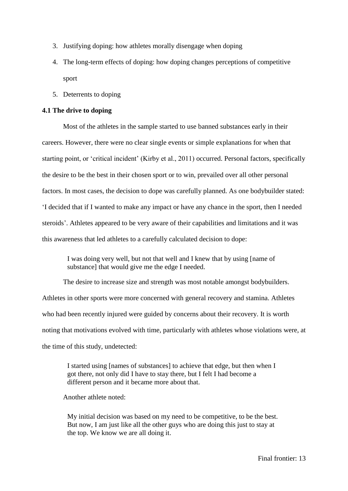- 3. Justifying doping: how athletes morally disengage when doping
- 4. The long-term effects of doping: how doping changes perceptions of competitive sport
- 5. Deterrents to doping

## **4.1 The drive to doping**

Most of the athletes in the sample started to use banned substances early in their careers. However, there were no clear single events or simple explanations for when that starting point, or 'critical incident' (Kirby et al., 2011) occurred. Personal factors, specifically the desire to be the best in their chosen sport or to win, prevailed over all other personal factors. In most cases, the decision to dope was carefully planned. As one bodybuilder stated: 'I decided that if I wanted to make any impact or have any chance in the sport, then I needed steroids'. Athletes appeared to be very aware of their capabilities and limitations and it was this awareness that led athletes to a carefully calculated decision to dope:

I was doing very well, but not that well and I knew that by using [name of substance] that would give me the edge I needed.

The desire to increase size and strength was most notable amongst bodybuilders. Athletes in other sports were more concerned with general recovery and stamina. Athletes who had been recently injured were guided by concerns about their recovery. It is worth noting that motivations evolved with time, particularly with athletes whose violations were, at the time of this study, undetected:

I started using [names of substances] to achieve that edge, but then when I got there, not only did I have to stay there, but I felt I had become a different person and it became more about that.

### Another athlete noted:

My initial decision was based on my need to be competitive, to be the best. But now, I am just like all the other guys who are doing this just to stay at the top. We know we are all doing it.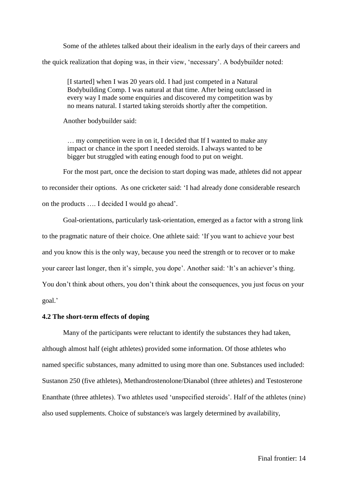Some of the athletes talked about their idealism in the early days of their careers and the quick realization that doping was, in their view, 'necessary'. A bodybuilder noted:

[I started] when I was 20 years old. I had just competed in a Natural Bodybuilding Comp. I was natural at that time. After being outclassed in every way I made some enquiries and discovered my competition was by no means natural. I started taking steroids shortly after the competition.

Another bodybuilder said:

… my competition were in on it, I decided that If I wanted to make any impact or chance in the sport I needed steroids. I always wanted to be bigger but struggled with eating enough food to put on weight.

For the most part, once the decision to start doping was made, athletes did not appear

to reconsider their options. As one cricketer said: 'I had already done considerable research

on the products …. I decided I would go ahead'.

Goal-orientations, particularly task-orientation, emerged as a factor with a strong link to the pragmatic nature of their choice. One athlete said: 'If you want to achieve your best and you know this is the only way, because you need the strength or to recover or to make your career last longer, then it's simple, you dope'. Another said: 'It's an achiever's thing. You don't think about others, you don't think about the consequences, you just focus on your goal.'

#### **4.2 The short-term effects of doping**

Many of the participants were reluctant to identify the substances they had taken, although almost half (eight athletes) provided some information. Of those athletes who named specific substances, many admitted to using more than one. Substances used included: Sustanon 250 (five athletes), Methandrostenolone/Dianabol (three athletes) and Testosterone Enanthate (three athletes). Two athletes used 'unspecified steroids'. Half of the athletes (nine) also used supplements. Choice of substance/s was largely determined by availability,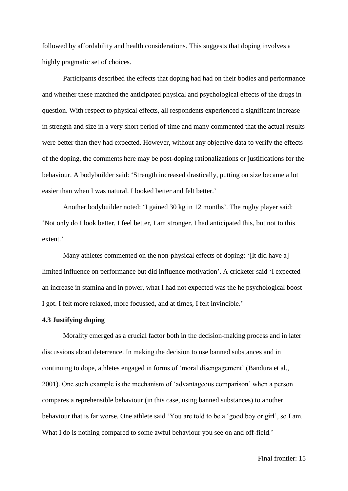followed by affordability and health considerations. This suggests that doping involves a highly pragmatic set of choices.

Participants described the effects that doping had had on their bodies and performance and whether these matched the anticipated physical and psychological effects of the drugs in question. With respect to physical effects, all respondents experienced a significant increase in strength and size in a very short period of time and many commented that the actual results were better than they had expected. However, without any objective data to verify the effects of the doping, the comments here may be post-doping rationalizations or justifications for the behaviour. A bodybuilder said: 'Strength increased drastically, putting on size became a lot easier than when I was natural. I looked better and felt better.'

Another bodybuilder noted: 'I gained 30 kg in 12 months'. The rugby player said: 'Not only do I look better, I feel better, I am stronger. I had anticipated this, but not to this extent.'

Many athletes commented on the non-physical effects of doping: '[It did have a] limited influence on performance but did influence motivation'. A cricketer said 'I expected an increase in stamina and in power, what I had not expected was the he psychological boost I got. I felt more relaxed, more focussed, and at times, I felt invincible.'

#### **4.3 Justifying doping**

Morality emerged as a crucial factor both in the decision-making process and in later discussions about deterrence. In making the decision to use banned substances and in continuing to dope, athletes engaged in forms of 'moral disengagement' [\(Bandura et al.,](#page-26-11)  [2001\)](#page-26-11). One such example is the mechanism of 'advantageous comparison' when a person compares a reprehensible behaviour (in this case, using banned substances) to another behaviour that is far worse. One athlete said 'You are told to be a 'good boy or girl', so I am. What I do is nothing compared to some awful behaviour you see on and off-field.'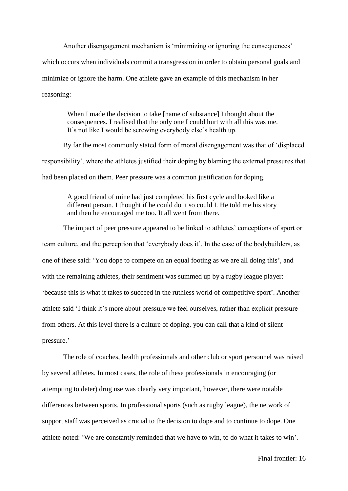Another disengagement mechanism is 'minimizing or ignoring the consequences' which occurs when individuals commit a transgression in order to obtain personal goals and minimize or ignore the harm. One athlete gave an example of this mechanism in her reasoning:

When I made the decision to take [name of substance] I thought about the consequences. I realised that the only one I could hurt with all this was me. It's not like I would be screwing everybody else's health up.

By far the most commonly stated form of moral disengagement was that of 'displaced responsibility', where the athletes justified their doping by blaming the external pressures that had been placed on them. Peer pressure was a common justification for doping.

A good friend of mine had just completed his first cycle and looked like a different person. I thought if he could do it so could I. He told me his story and then he encouraged me too. It all went from there.

The impact of peer pressure appeared to be linked to athletes' conceptions of sport or team culture, and the perception that 'everybody does it'. In the case of the bodybuilders, as one of these said: 'You dope to compete on an equal footing as we are all doing this', and with the remaining athletes, their sentiment was summed up by a rugby league player: 'because this is what it takes to succeed in the ruthless world of competitive sport'. Another athlete said 'I think it's more about pressure we feel ourselves, rather than explicit pressure from others. At this level there is a culture of doping, you can call that a kind of silent pressure.'

The role of coaches, health professionals and other club or sport personnel was raised by several athletes. In most cases, the role of these professionals in encouraging (or attempting to deter) drug use was clearly very important, however, there were notable differences between sports. In professional sports (such as rugby league), the network of support staff was perceived as crucial to the decision to dope and to continue to dope. One athlete noted: 'We are constantly reminded that we have to win, to do what it takes to win'.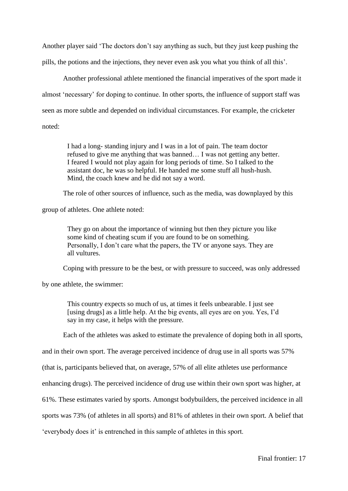Another player said 'The doctors don't say anything as such, but they just keep pushing the pills, the potions and the injections, they never even ask you what you think of all this'.

Another professional athlete mentioned the financial imperatives of the sport made it almost 'necessary' for doping to continue. In other sports, the influence of support staff was seen as more subtle and depended on individual circumstances. For example, the cricketer noted:

I had a long- standing injury and I was in a lot of pain. The team doctor refused to give me anything that was banned… I was not getting any better. I feared I would not play again for long periods of time. So I talked to the assistant doc, he was so helpful. He handed me some stuff all hush-hush. Mind, the coach knew and he did not say a word.

The role of other sources of influence, such as the media, was downplayed by this

group of athletes. One athlete noted:

They go on about the importance of winning but then they picture you like some kind of cheating scum if you are found to be on something. Personally, I don't care what the papers, the TV or anyone says. They are all vultures.

Coping with pressure to be the best, or with pressure to succeed, was only addressed

by one athlete, the swimmer:

This country expects so much of us, at times it feels unbearable. I just see [using drugs] as a little help. At the big events, all eyes are on you. Yes, I'd say in my case, it helps with the pressure.

Each of the athletes was asked to estimate the prevalence of doping both in all sports,

and in their own sport. The average perceived incidence of drug use in all sports was 57%

(that is, participants believed that, on average, 57% of all elite athletes use performance

enhancing drugs). The perceived incidence of drug use within their own sport was higher, at

61%. These estimates varied by sports. Amongst bodybuilders, the perceived incidence in all

sports was 73% (of athletes in all sports) and 81% of athletes in their own sport. A belief that

'everybody does it' is entrenched in this sample of athletes in this sport.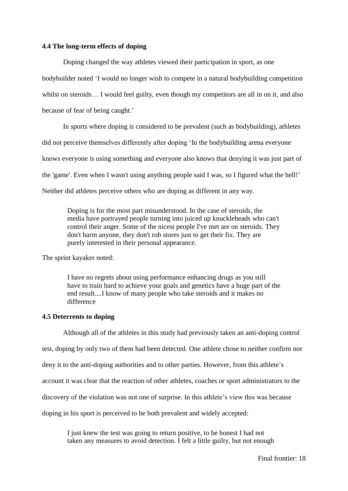### **4.4 The long-term effects of doping**

Doping changed the way athletes viewed their participation in sport, as one

bodybuilder noted 'I would no longer wish to compete in a natural bodybuilding competition whilst on steroids... I would feel guilty, even though my competitors are all in on it, and also because of fear of being caught.'

In sports where doping is considered to be prevalent (such as bodybuilding), athletes did not perceive themselves differently after doping 'In the bodybuilding arena everyone knows everyone is using something and everyone also knows that denying it was just part of the 'game'. Even when I wasn't using anything people said I was, so I figured what the hell!' Neither did athletes perceive others who are doping as different in any way.

Doping is for the most part misunderstood. In the case of steroids, the media have portrayed people turning into juiced up knuckleheads who can't control their anger. Some of the nicest people I've met are on steroids. They don't harm anyone, they don't rob stores just to get their fix. They are purely interested in their personal appearance.

The sprint kayaker noted:

I have no regrets about using performance enhancing drugs as you still have to train hard to achieve your goals and genetics have a huge part of the end result....I know of many people who take steroids and it makes no difference

### **4.5 Deterrents to doping**

Although all of the athletes in this study had previously taken an anti-doping control test, doping by only two of them had been detected. One athlete chose to neither confirm nor deny it to the anti-doping authorities and to other parties. However, from this athlete's account it was clear that the reaction of other athletes, coaches or sport administrators to the discovery of the violation was not one of surprise. In this athlete's view this was because doping in his sport is perceived to be both prevalent and widely accepted:

I just knew the test was going to return positive, to be honest I had not taken any measures to avoid detection. I felt a little guilty, but not enough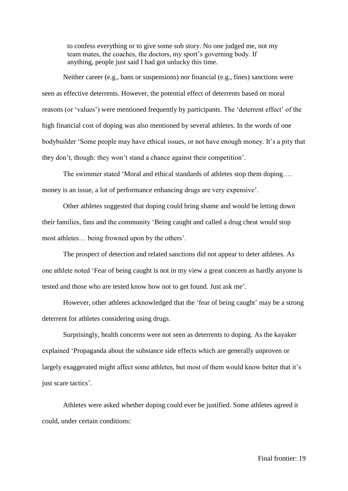to confess everything or to give some sob story. No one judged me, not my team mates, the coaches, the doctors, my sport's governing body. If anything, people just said I had got unlucky this time.

Neither career (e.g., bans or suspensions) nor financial (e.g., fines) sanctions were seen as effective deterrents. However, the potential effect of deterrents based on moral reasons (or 'values') were mentioned frequently by participants. The 'deterrent effect' of the high financial cost of doping was also mentioned by several athletes. In the words of one bodybuilder 'Some people may have ethical issues, or not have enough money. It's a pity that they don't, though: they won't stand a chance against their competition'.

The swimmer stated 'Moral and ethical standards of athletes stop them doping…. money is an issue, a lot of performance enhancing drugs are very expensive'.

Other athletes suggested that doping could bring shame and would be letting down their families, fans and the community 'Being caught and called a drug cheat would stop most athletes… being frowned upon by the others'.

The prospect of detection and related sanctions did not appear to deter athletes. As one athlete noted 'Fear of being caught is not in my view a great concern as hardly anyone is tested and those who are tested know how not to get found. Just ask me'.

However, other athletes acknowledged that the 'fear of being caught' may be a strong deterrent for athletes considering using drugs.

Surprisingly, health concerns were not seen as deterrents to doping. As the kayaker explained 'Propaganda about the substance side effects which are generally unproven or largely exaggerated might affect some athletes, but most of them would know better that it's just scare tactics'.

Athletes were asked whether doping could ever be justified. Some athletes agreed it could, under certain conditions: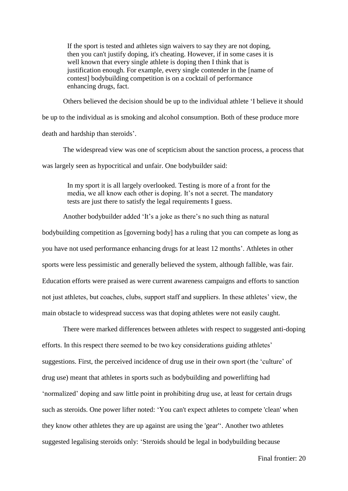If the sport is tested and athletes sign waivers to say they are not doping, then you can't justify doping, it's cheating. However, if in some cases it is well known that every single athlete is doping then I think that is justification enough. For example, every single contender in the [name of contest] bodybuilding competition is on a cocktail of performance enhancing drugs, fact.

Others believed the decision should be up to the individual athlete 'I believe it should be up to the individual as is smoking and alcohol consumption. Both of these produce more death and hardship than steroids'.

The widespread view was one of scepticism about the sanction process, a process that was largely seen as hypocritical and unfair. One bodybuilder said:

In my sport it is all largely overlooked. Testing is more of a front for the media, we all know each other is doping. It's not a secret. The mandatory tests are just there to satisfy the legal requirements I guess.

Another bodybuilder added 'It's a joke as there's no such thing as natural

bodybuilding competition as [governing body] has a ruling that you can compete as long as you have not used performance enhancing drugs for at least 12 months'. Athletes in other sports were less pessimistic and generally believed the system, although fallible, was fair. Education efforts were praised as were current awareness campaigns and efforts to sanction not just athletes, but coaches, clubs, support staff and suppliers. In these athletes' view, the main obstacle to widespread success was that doping athletes were not easily caught.

There were marked differences between athletes with respect to suggested anti-doping efforts. In this respect there seemed to be two key considerations guiding athletes' suggestions. First, the perceived incidence of drug use in their own sport (the 'culture' of drug use) meant that athletes in sports such as bodybuilding and powerlifting had 'normalized' doping and saw little point in prohibiting drug use, at least for certain drugs such as steroids. One power lifter noted: 'You can't expect athletes to compete 'clean' when they know other athletes they are up against are using the 'gear''. Another two athletes suggested legalising steroids only: 'Steroids should be legal in bodybuilding because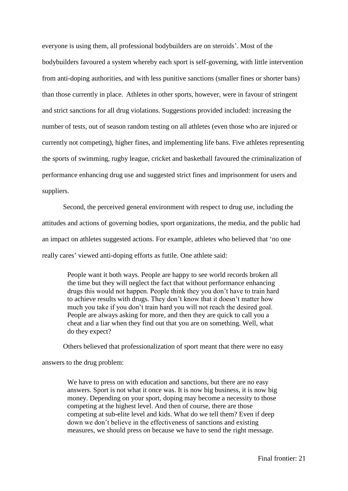everyone is using them, all professional bodybuilders are on steroids'. Most of the bodybuilders favoured a system whereby each sport is self-governing, with little intervention from anti-doping authorities, and with less punitive sanctions (smaller fines or shorter bans) than those currently in place. Athletes in other sports, however, were in favour of stringent and strict sanctions for all drug violations. Suggestions provided included: increasing the number of tests, out of season random testing on all athletes (even those who are injured or currently not competing), higher fines, and implementing life bans. Five athletes representing the sports of swimming, rugby league, cricket and basketball favoured the criminalization of performance enhancing drug use and suggested strict fines and imprisonment for users and suppliers.

Second, the perceived general environment with respect to drug use, including the attitudes and actions of governing bodies, sport organizations, the media, and the public had an impact on athletes suggested actions. For example, athletes who believed that 'no one really cares' viewed anti-doping efforts as futile. One athlete said:

People want it both ways. People are happy to see world records broken all the time but they will neglect the fact that without performance enhancing drugs this would not happen. People think they you don't have to train hard to achieve results with drugs. They don't know that it doesn't matter how much you take if you don't train hard you will not reach the desired goal. People are always asking for more, and then they are quick to call you a cheat and a liar when they find out that you are on something. Well, what do they expect?

Others believed that professionalization of sport meant that there were no easy

answers to the drug problem:

We have to press on with education and sanctions, but there are no easy answers. Sport is not what it once was. It is now big business, it is now big money. Depending on your sport, doping may become a necessity to those competing at the highest level. And then of course, there are those competing at sub-elite level and kids. What do we tell them? Even if deep down we don't believe in the effectiveness of sanctions and existing measures, we should press on because we have to send the right message.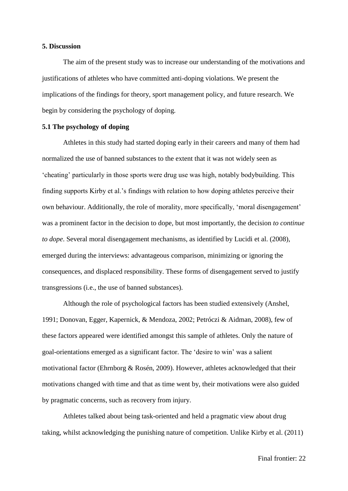### **5. Discussion**

The aim of the present study was to increase our understanding of the motivations and justifications of athletes who have committed anti-doping violations. We present the implications of the findings for theory, sport management policy, and future research. We begin by considering the psychology of doping.

#### **5.1 The psychology of doping**

Athletes in this study had started doping early in their careers and many of them had normalized the use of banned substances to the extent that it was not widely seen as 'cheating' particularly in those sports were drug use was high, notably bodybuilding. This finding supports Kirby et al.'s findings with relation to how doping athletes perceive their own behaviour. Additionally, the role of morality, more specifically, 'moral disengagement' was a prominent factor in the decision to dope, but most importantly, the decision *to continue to dope*. Several moral disengagement mechanisms, as identified by [Lucidi et al. \(2008\)](#page-27-10), emerged during the interviews: advantageous comparison, minimizing or ignoring the consequences, and displaced responsibility. These forms of disengagement served to justify transgressions (i.e., the use of banned substances).

Although the role of psychological factors has been studied extensively [\(Anshel,](#page-25-3)  [1991;](#page-25-3) [Donovan, Egger, Kapernick, & Mendoza, 2002;](#page-26-14) [Petróczi & Aidman, 2008\)](#page-27-16), few of these factors appeared were identified amongst this sample of athletes. Only the nature of goal-orientations emerged as a significant factor. The 'desire to win' was a salient motivational factor [\(Ehrnborg & Rosén, 2009\)](#page-26-15). However, athletes acknowledged that their motivations changed with time and that as time went by, their motivations were also guided by pragmatic concerns, such as recovery from injury.

Athletes talked about being task-oriented and held a pragmatic view about drug taking, whilst acknowledging the punishing nature of competition. Unlike [Kirby et al. \(2011\)](#page-27-11)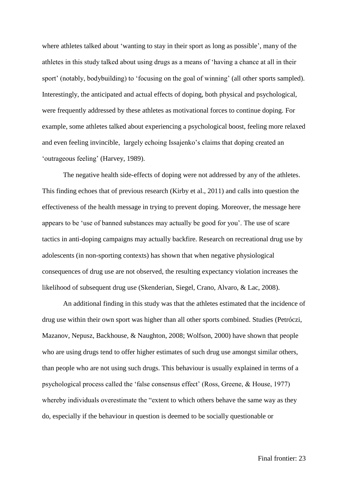where athletes talked about 'wanting to stay in their sport as long as possible', many of the athletes in this study talked about using drugs as a means of 'having a chance at all in their sport' (notably, bodybuilding) to 'focusing on the goal of winning' (all other sports sampled). Interestingly, the anticipated and actual effects of doping, both physical and psychological, were frequently addressed by these athletes as motivational forces to continue doping. For example, some athletes talked about experiencing a psychological boost, feeling more relaxed and even feeling invincible, largely echoing Issajenko's claims that doping created an 'outrageous feeling' [\(Harvey, 1989\)](#page-27-14).

The negative health side-effects of doping were not addressed by any of the athletes. This finding echoes that of previous research [\(Kirby et al., 2011\)](#page-27-11) and calls into question the effectiveness of the health message in trying to prevent doping. Moreover, the message here appears to be 'use of banned substances may actually be good for you'. The use of scare tactics in anti-doping campaigns may actually backfire. Research on recreational drug use by adolescents (in non-sporting contexts) has shown that when negative physiological consequences of drug use are not observed, the resulting expectancy violation increases the likelihood of subsequent drug use [\(Skenderian, Siegel, Crano, Alvaro, & Lac, 2008\)](#page-28-8).

An additional finding in this study was that the athletes estimated that the incidence of drug use within their own sport was higher than all other sports combined. Studies [\(Petróczi,](#page-27-17)  [Mazanov, Nepusz, Backhouse, & Naughton, 2008;](#page-27-17) [Wolfson, 2000\)](#page-28-9) have shown that people who are using drugs tend to offer higher estimates of such drug use amongst similar others, than people who are not using such drugs. This behaviour is usually explained in terms of a psychological process called the 'false consensus effect' (Ross, Greene, & House, 1977) whereby individuals overestimate the "extent to which others behave the same way as they do, especially if the behaviour in question is deemed to be socially questionable or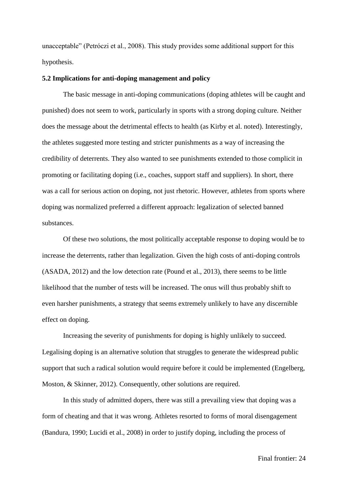unacceptable" (Petróczi et al., 2008). This study provides some additional support for this hypothesis.

## **5.2 Implications for anti-doping management and policy**

The basic message in anti-doping communications (doping athletes will be caught and punished) does not seem to work, particularly in sports with a strong doping culture. Neither does the message about the detrimental effects to health (as Kirby et al. noted). Interestingly, the athletes suggested more testing and stricter punishments as a way of increasing the credibility of deterrents. They also wanted to see punishments extended to those complicit in promoting or facilitating doping (i.e., coaches, support staff and suppliers). In short, there was a call for serious action on doping, not just rhetoric. However, athletes from sports where doping was normalized preferred a different approach: legalization of selected banned substances.

Of these two solutions, the most politically acceptable response to doping would be to increase the deterrents, rather than legalization. Given the high costs of anti-doping controls [\(ASADA, 2012\)](#page-25-2) and the low detection rate [\(Pound et al., 2013\)](#page-27-8), there seems to be little likelihood that the number of tests will be increased. The onus will thus probably shift to even harsher punishments, a strategy that seems extremely unlikely to have any discernible effect on doping.

Increasing the severity of punishments for doping is highly unlikely to succeed. Legalising doping is an alternative solution that struggles to generate the widespread public support that such a radical solution would require before it could be implemented [\(Engelberg,](#page-26-16)  [Moston, & Skinner, 2012\)](#page-26-16). Consequently, other solutions are required.

In this study of admitted dopers, there was still a prevailing view that doping was a form of cheating and that it was wrong. Athletes resorted to forms of moral disengagement [\(Bandura, 1990;](#page-26-17) [Lucidi et al., 2008\)](#page-27-10) in order to justify doping, including the process of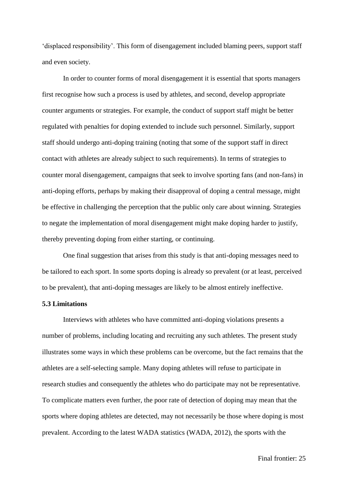'displaced responsibility'. This form of disengagement included blaming peers, support staff and even society.

In order to counter forms of moral disengagement it is essential that sports managers first recognise how such a process is used by athletes, and second, develop appropriate counter arguments or strategies. For example, the conduct of support staff might be better regulated with penalties for doping extended to include such personnel. Similarly, support staff should undergo anti-doping training (noting that some of the support staff in direct contact with athletes are already subject to such requirements). In terms of strategies to counter moral disengagement, campaigns that seek to involve sporting fans (and non-fans) in anti-doping efforts, perhaps by making their disapproval of doping a central message, might be effective in challenging the perception that the public only care about winning. Strategies to negate the implementation of moral disengagement might make doping harder to justify, thereby preventing doping from either starting, or continuing.

One final suggestion that arises from this study is that anti-doping messages need to be tailored to each sport. In some sports doping is already so prevalent (or at least, perceived to be prevalent), that anti-doping messages are likely to be almost entirely ineffective.

# **5.3 Limitations**

Interviews with athletes who have committed anti-doping violations presents a number of problems, including locating and recruiting any such athletes. The present study illustrates some ways in which these problems can be overcome, but the fact remains that the athletes are a self-selecting sample. Many doping athletes will refuse to participate in research studies and consequently the athletes who do participate may not be representative. To complicate matters even further, the poor rate of detection of doping may mean that the sports where doping athletes are detected, may not necessarily be those where doping is most prevalent. According to the latest WADA statistics [\(WADA, 2012\)](#page-28-10), the sports with the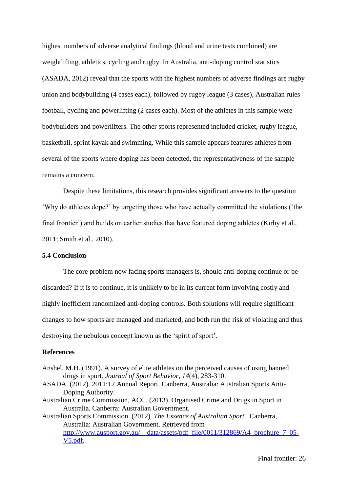highest numbers of adverse analytical findings (blood and urine tests combined) are weightlifting, athletics, cycling and rugby. In Australia, anti-doping control statistics [\(ASADA, 2012\)](#page-25-2) reveal that the sports with the highest numbers of adverse findings are rugby union and bodybuilding (4 cases each), followed by rugby league (3 cases), Australian rules football, cycling and powerlifting (2 cases each). Most of the athletes in this sample were bodybuilders and powerlifters. The other sports represented included cricket, rugby league, basketball, sprint kayak and swimming. While this sample appears features athletes from several of the sports where doping has been detected, the representativeness of the sample remains a concern.

Despite these limitations, this research provides significant answers to the question 'Why do athletes dope?' by targeting those who have actually committed the violations ('the final frontier') and builds on earlier studies that have featured doping athletes [\(Kirby et al.,](#page-27-11)  [2011;](#page-27-11) [Smith et al., 2010\)](#page-28-6).

## **5.4 Conclusion**

The core problem now facing sports managers is, should anti-doping continue or be discarded? If it is to continue, it is unlikely to be in its current form involving costly and highly inefficient randomized anti-doping controls. Both solutions will require significant changes to how sports are managed and marketed, and both run the risk of violating and thus destroying the nebulous concept known as the 'spirit of sport'.

## **References**

- <span id="page-25-3"></span>Anshel, M.H. (1991). A survey of elite athletes on the perceived causes of using banned drugs in sport. *Journal of Sport Behavior, 14*(4), 283-310.
- <span id="page-25-2"></span>ASADA. (2012). 2011:12 Annual Report. Canberra, Australia: Australian Sports Anti-Doping Authority.
- <span id="page-25-1"></span>Australian Crime Commission, ACC. (2013). Organised Crime and Drugs in Sport in Australia. Canberra: Australian Government.
- <span id="page-25-0"></span>Australian Sports Commission. (2012). *The Essence of Australian Sport*. Canberra, Australia: Australian Government. Retrieved from [http://www.ausport.gov.au/\\_\\_data/assets/pdf\\_file/0011/312869/A4\\_brochure\\_7\\_05-](http://www.ausport.gov.au/__data/assets/pdf_file/0011/312869/A4_brochure_7_05-V5.pdf) [V5.pdf.](http://www.ausport.gov.au/__data/assets/pdf_file/0011/312869/A4_brochure_7_05-V5.pdf)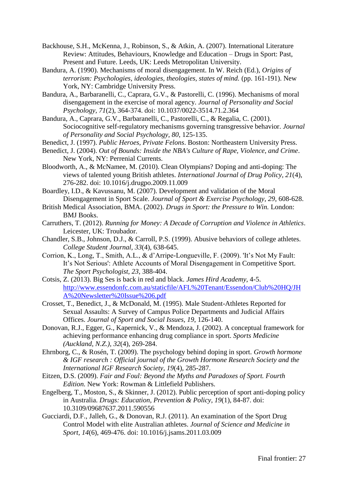- <span id="page-26-9"></span>Backhouse, S.H., McKenna, J., Robinson, S., & Atkin, A. (2007). International Literature Review: Attitudes, Behaviours, Knowledge and Education – Drugs in Sport: Past, Present and Future. Leeds, UK: Leeds Metropolitan University.
- <span id="page-26-17"></span>Bandura, A. (1990). Mechanisms of moral disengagement. In W. Reich (Ed.), *Origins of terrorism: Psychologies, ideologies, theologies, states of mind.* (pp. 161-191). New York, NY: Cambridge University Press.
- <span id="page-26-10"></span>Bandura, A., Barbaranelli, C., Caprara, G.V., & Pastorelli, C. (1996). Mechanisms of moral disengagement in the exercise of moral agency. *Journal of Personality and Social Psychology, 71*(2), 364-374. doi: 10.1037/0022-3514.71.2.364
- <span id="page-26-11"></span>Bandura, A., Caprara, G.V., Barbaranelli, C., Pastorelli, C., & Regalia, C. (2001). Sociocognitive self-regulatory mechanisms governing transgressive behavior. *Journal of Personality and Social Psychology, 80*, 125-135.
- <span id="page-26-4"></span>Benedict, J. (1997). *Public Heroes, Private Felons*. Boston: Northeastern University Press.
- <span id="page-26-5"></span>Benedict, J. (2004). *Out of Bounds: Inside the NBA's Culture of Rape, Violence, and Crime*. New York, NY: Perrenial Currents.
- Bloodworth, A., & McNamee, M. (2010). Clean Olympians? Doping and anti-doping: The views of talented young British athletes. *International Journal of Drug Policy, 21*(4), 276-282. doi: 10.1016/j.drugpo.2009.11.009
- <span id="page-26-12"></span>Boardley, I.D., & Kavussanu, M. (2007). Development and validation of the Moral Disengagement in Sport Scale. *Journal of Sport & Exercise Psychology, 29*, 608-628.
- <span id="page-26-7"></span>British Medical Association, BMA. (2002). *Drugs in Sport: the Pressure to Win.* London: BMJ Books.
- <span id="page-26-0"></span>Carruthers, T. (2012). *Running for Money: A Decade of Corruption and Violence in Athletics*. Leicester, UK: Troubador.
- <span id="page-26-2"></span>Chandler, S.B., Johnson, D.J., & Carroll, P.S. (1999). Abusive behaviors of college athletes. *College Student Journal, 33*(4), 638-645.
- <span id="page-26-13"></span>Corrion, K., Long, T., Smith, A.L., & d'Arripe-Longueville, F. (2009). 'It's Not My Fault: It's Not Serious': Athlete Accounts of Moral Disengagement in Competitive Sport. *The Sport Psychologist, 23*, 388-404.
- <span id="page-26-6"></span>Cotsis, Z. (2013). Big Ses is back in red and black. *James Hird Academy*, 4-5. [http://www.essendonfc.com.au/staticfile/AFL%20Tenant/Essendon/Club%20HQ/JH](http://www.essendonfc.com.au/staticfile/AFL%20Tenant/Essendon/Club%20HQ/JHA%20Newsletter%20Issue%206.pdf) [A%20Newsletter%20Issue%206.pdf](http://www.essendonfc.com.au/staticfile/AFL%20Tenant/Essendon/Club%20HQ/JHA%20Newsletter%20Issue%206.pdf)
- <span id="page-26-3"></span>Crosset, T., Benedict, J., & McDonald, M. (1995). Male Student-Athletes Reported for Sexual Assaults: A Survey of Campus Police Departments and Judicial Affairs Offices. *Journal of Sport and Social Issues, 19*, 126-140.
- <span id="page-26-14"></span>Donovan, R.J., Egger, G., Kapernick, V., & Mendoza, J. (2002). A conceptual framework for achieving performance enhancing drug compliance in sport. *Sports Medicine (Auckland, N.Z.), 32*(4), 269-284.
- <span id="page-26-15"></span>Ehrnborg, C., & Rosén, T. (2009). The psychology behind doping in sport. *Growth hormone & IGF research : Official journal of the Growth Hormone Research Society and the International IGF Research Society, 19*(4), 285-287.
- <span id="page-26-1"></span>Eitzen, D.S. (2009). *Fair and Foul: Beyond the Myths and Paradoxes of Sport. Fourth Edition.* New York: Rowman & Littlefield Publishers.
- <span id="page-26-16"></span>Engelberg, T., Moston, S., & Skinner, J. (2012). Public perception of sport anti-doping policy in Australia. *Drugs: Education, Prevention & Policy, 19*(1), 84-87. doi: 10.3109/09687637.2011.590556
- <span id="page-26-8"></span>Gucciardi, D.F., Jalleh, G., & Donovan, R.J. (2011). An examination of the Sport Drug Control Model with elite Australian athletes. *Journal of Science and Medicine in Sport, 14*(6), 469-476. doi: 10.1016/j.jsams.2011.03.009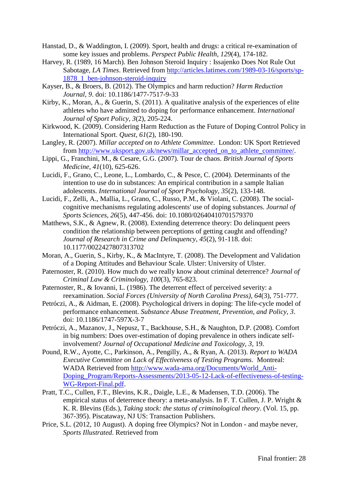- <span id="page-27-3"></span>Hanstad, D., & Waddington, I. (2009). Sport, health and drugs: a critical re-examination of some key issues and problems. *Perspect Public Health, 129*(4), 174-182.
- <span id="page-27-14"></span>Harvey, R. (1989, 16 March). Ben Johnson Steroid Inquiry : Issajenko Does Not Rule Out Sabotage, *LA Times*. Retrieved from [http://articles.latimes.com/1989-03-16/sports/sp-](http://articles.latimes.com/1989-03-16/sports/sp-1878_1_ben-johnson-steroid-inquiry)1878 1 ben-johnson-steroid-inquiry
- <span id="page-27-6"></span>Kayser, B., & Broers, B. (2012). The Olympics and harm reduction? *Harm Reduction Journal, 9*. doi: 10.1186/1477-7517-9-33
- <span id="page-27-11"></span>Kirby, K., Moran, A., & Guerin, S. (2011). A qualitative analysis of the experiences of elite athletes who have admitted to doping for performance enhancement. *International Journal of Sport Policy, 3*(2), 205-224.
- <span id="page-27-7"></span>Kirkwood, K. (2009). Considering Harm Reduction as the Future of Doping Control Policy in International Sport. *Quest, 61*(2), 180-190.
- <span id="page-27-13"></span>Langley, R. (2007). *Millar accepted on to Athlete Committee*. London: UK Sport Retrieved from [http://www.uksport.gov.uk/news/millar\\_accepted\\_on\\_to\\_athlete\\_committee/.](http://www.uksport.gov.uk/news/millar_accepted_on_to_athlete_committee/)
- <span id="page-27-9"></span>Lippi, G., Franchini, M., & Cesare, G.G. (2007). Tour de chaos. *British Journal of Sports Medicine, 41*(10), 625-626.
- <span id="page-27-15"></span>Lucidi, F., Grano, C., Leone, L., Lombardo, C., & Pesce, C. (2004). Determinants of the intention to use do in substances: An empirical contribution in a sample Italian adolescents. *International Journal of Sport Psychology, 35*(2), 133-148.
- <span id="page-27-10"></span>Lucidi, F., Zelli, A., Mallia, L., Grano, C., Russo, P.M., & Violani, C. (2008). The socialcognitive mechanisms regulating adolescents' use of doping substances. *Journal of Sports Sciences, 26*(5), 447-456. doi: 10.1080/02640410701579370
- <span id="page-27-0"></span>Matthews, S.K., & Agnew, R. (2008). Extending deterrence theory: Do delinquent peers condition the relationship between perceptions of getting caught and offending? *Journal of Research in Crime and Delinquency, 45*(2), 91-118. doi: 10.1177/0022427807313702
- <span id="page-27-12"></span>Moran, A., Guerin, S., Kirby, K., & MacIntyre, T. (2008). The Development and Validation of a Doping Attitudes and Behaviour Scale. Ulster: University of Ulster.
- <span id="page-27-1"></span>Paternoster, R. (2010). How much do we really know about criminal deterrence? *Journal of Criminal Law & Criminology, 100*(3), 765-823.
- <span id="page-27-4"></span>Paternoster, R., & Iovanni, L. (1986). The deterrent effect of perceived severity: a reexamination. *Social Forces (University of North Carolina Press), 64*(3), 751-777.
- <span id="page-27-16"></span>Petróczi, A., & Aidman, E. (2008). Psychological drivers in doping: The life-cycle model of performance enhancement. *Substance Abuse Treatment, Prevention, and Policy, 3*. doi: 10.1186/1747-597X-3-7
- <span id="page-27-17"></span>Petróczi, A., Mazanov, J., Nepusz, T., Backhouse, S.H., & Naughton, D.P. (2008). Comfort in big numbers: Does over-estimation of doping prevalence in others indicate selfinvolvement? *Journal of Occupational Medicine and Toxicology, 3*, 19.
- <span id="page-27-8"></span>Pound, R.W., Ayotte, C., Parkinson, A., Pengilly, A., & Ryan, A. (2013). *Report to WADA Executive Committee on Lack of Effectiveness of Testing Programs*. Montreal: WADA Retrieved from [http://www.wada-ama.org/Documents/World\\_Anti-](http://www.wada-ama.org/Documents/World_Anti-Doping_Program/Reports-Assessments/2013-05-12-Lack-of-effectiveness-of-testing-WG-Report-Final.pdf)Doping Program/Reports-Assessments/2013-05-12-Lack-of-effectiveness-of-testing-[WG-Report-Final.pdf.](http://www.wada-ama.org/Documents/World_Anti-Doping_Program/Reports-Assessments/2013-05-12-Lack-of-effectiveness-of-testing-WG-Report-Final.pdf)
- <span id="page-27-2"></span>Pratt, T.C., Cullen, F.T., Blevins, K.R., Daigle, L.E., & Madensen, T.D. (2006). The empirical status of deterrence theory: a meta-analysis. In F. T. Cullen, J. P. Wright & K. R. Blevins (Eds.), *Taking stock: the status of criminological theory.* (Vol. 15, pp. 367-395). Piscataway, NJ US: Transaction Publishers.
- <span id="page-27-5"></span>Price, S.L. (2012, 10 August). A doping free Olympics? Not in London - and maybe never, *Sports Illustrated*. Retrieved from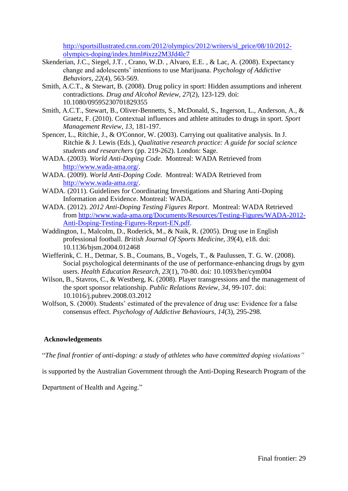[http://sportsillustrated.cnn.com/2012/olympics/2012/writers/sl\\_price/08/10/2012](http://sportsillustrated.cnn.com/2012/olympics/2012/writers/sl_price/08/10/2012-olympics-doping/index.html#ixzz2M3Jd4lc7) [olympics-doping/index.html#ixzz2M3Jd4lc7](http://sportsillustrated.cnn.com/2012/olympics/2012/writers/sl_price/08/10/2012-olympics-doping/index.html#ixzz2M3Jd4lc7)

- <span id="page-28-8"></span>Skenderian, J.C., Siegel, J.T. , Crano, W.D. , Alvaro, E.E. , & Lac, A. (2008). Expectancy change and adolescents' intentions to use Marijuana. *Psychology of Addictive Behaviors, 22*(4), 563-569.
- <span id="page-28-3"></span>Smith, A.C.T., & Stewart, B. (2008). Drug policy in sport: Hidden assumptions and inherent contradictions. *Drug and Alcohol Review, 27*(2), 123-129. doi: 10.1080/09595230701829355
- <span id="page-28-6"></span>Smith, A.C.T., Stewart, B., Oliver-Bennetts, S., McDonald, S., Ingerson, L., Anderson, A., & Graetz, F. (2010). Contextual influences and athlete attitudes to drugs in sport. *Sport Management Review, 13*, 181-197.
- <span id="page-28-7"></span>Spencer, L., Ritchie, J., & O'Connor, W. (2003). Carrying out qualitative analysis. In J. Ritchie & J. Lewis (Eds.), *Qualitative research practice: A guide for social science students and researchers* (pp. 219-262). London: Sage.
- <span id="page-28-1"></span>WADA. (2003). *World Anti-Doping Code*. Montreal: WADA Retrieved from [http://www.wada-ama.org/.](http://www.wada-ama.org/)
- <span id="page-28-2"></span>WADA. (2009). *World Anti-Doping Code.* Montreal: WADA Retrieved from [http://www.wada-ama.org/.](http://www.wada-ama.org/)
- <span id="page-28-4"></span>WADA. (2011). Guidelines for Coordinating Investigations and Sharing Anti-Doping Information and Evidence. Montreal: WADA.
- <span id="page-28-10"></span>WADA. (2012). *2012 Anti-Doping Testing Figures Report*. Montreal: WADA Retrieved from [http://www.wada-ama.org/Documents/Resources/Testing-Figures/WADA-2012-](http://www.wada-ama.org/Documents/Resources/Testing-Figures/WADA-2012-Anti-Doping-Testing-Figures-Report-EN.pdf) [Anti-Doping-Testing-Figures-Report-EN.pdf.](http://www.wada-ama.org/Documents/Resources/Testing-Figures/WADA-2012-Anti-Doping-Testing-Figures-Report-EN.pdf)
- Waddington, I., Malcolm, D., Roderick, M., & Naik, R. (2005). Drug use in English professional football. *British Journal Of Sports Medicine, 39*(4), e18. doi: 10.1136/bjsm.2004.012468
- <span id="page-28-5"></span>Wiefferink, C. H., Detmar, S. B., Coumans, B., Vogels, T., & Paulussen, T. G. W. (2008). Social psychological determinants of the use of performance-enhancing drugs by gym users. *Health Education Research, 23*(1), 70-80. doi: 10.1093/her/cym004
- <span id="page-28-0"></span>Wilson, B., Stavros, C., & Westberg, K. (2008). Player transgressions and the management of the sport sponsor relationship. *Public Relations Review, 34*, 99-107. doi: 10.1016/j.pubrev.2008.03.2012
- <span id="page-28-9"></span>Wolfson, S. (2000). Students' estimated of the prevalence of drug use: Evidence for a false consensus effect. *Psychology of Addictive Behaviours, 14*(3), 295-298.

## **Acknowledgements**

"*The final frontier of anti-doping: a study of athletes who have committed doping violations"* 

is supported by the Australian Government through the Anti-Doping Research Program of the

Department of Health and Ageing."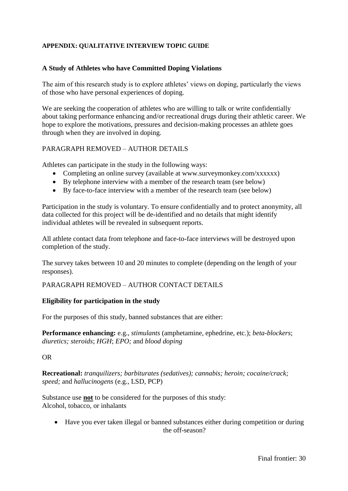# **APPENDIX: QUALITATIVE INTERVIEW TOPIC GUIDE**

## **A Study of Athletes who have Committed Doping Violations**

The aim of this research study is to explore athletes' views on doping, particularly the views of those who have personal experiences of doping.

We are seeking the cooperation of athletes who are willing to talk or write confidentially about taking performance enhancing and/or recreational drugs during their athletic career. We hope to explore the motivations, pressures and decision-making processes an athlete goes through when they are involved in doping.

# PARAGRAPH REMOVED – AUTHOR DETAILS

Athletes can participate in the study in the following ways:

- Completing an online survey (available at www.surveymonkey.com/xxxxxx)
- By telephone interview with a member of the research team (see below)
- By face-to-face interview with a member of the research team (see below)

Participation in the study is voluntary. To ensure confidentially and to protect anonymity, all data collected for this project will be de-identified and no details that might identify individual athletes will be revealed in subsequent reports.

All athlete contact data from telephone and face-to-face interviews will be destroyed upon completion of the study.

The survey takes between 10 and 20 minutes to complete (depending on the length of your responses).

PARAGRAPH REMOVED – AUTHOR CONTACT DETAILS

## **Eligibility for participation in the study**

For the purposes of this study, banned substances that are either:

**Performance enhancing:** e.g., *stimulants* (amphetamine, ephedrine, etc.); *beta-blockers*; *diuretics; steroids*; *HGH*; *EPO;* and *blood doping*

OR

**Recreational:** *tranquilizers; barbiturates (sedatives); cannabis; heroin; cocaine/crack; speed;* and *hallucinogens* (e.g., LSD, PCP)

Substance use **not** to be considered for the purposes of this study: Alcohol, tobacco, or inhalants

 Have you ever taken illegal or banned substances either during competition or during the off-season?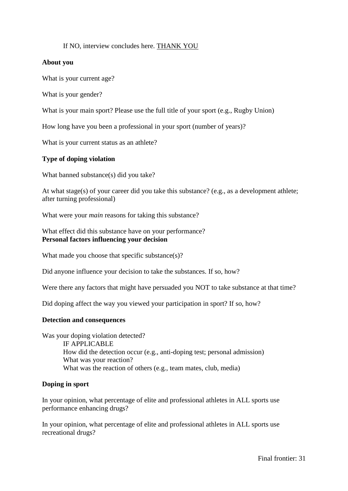# If NO, interview concludes here. THANK YOU

## **About you**

What is your current age?

What is your gender?

What is your main sport? Please use the full title of your sport (e.g., Rugby Union)

How long have you been a professional in your sport (number of years)?

What is your current status as an athlete?

## **Type of doping violation**

What banned substance(s) did you take?

At what stage(s) of your career did you take this substance? (e.g., as a development athlete; after turning professional)

What were your *main* reasons for taking this substance?

What effect did this substance have on your performance? **Personal factors influencing your decision**

What made you choose that specific substance(s)?

Did anyone influence your decision to take the substances. If so, how?

Were there any factors that might have persuaded you NOT to take substance at that time?

Did doping affect the way you viewed your participation in sport? If so, how?

### **Detection and consequences**

Was your doping violation detected? IF APPLICABLE How did the detection occur (e.g., anti-doping test; personal admission) What was your reaction? What was the reaction of others (e.g., team mates, club, media)

## **Doping in sport**

In your opinion, what percentage of elite and professional athletes in ALL sports use performance enhancing drugs?

In your opinion, what percentage of elite and professional athletes in ALL sports use recreational drugs?